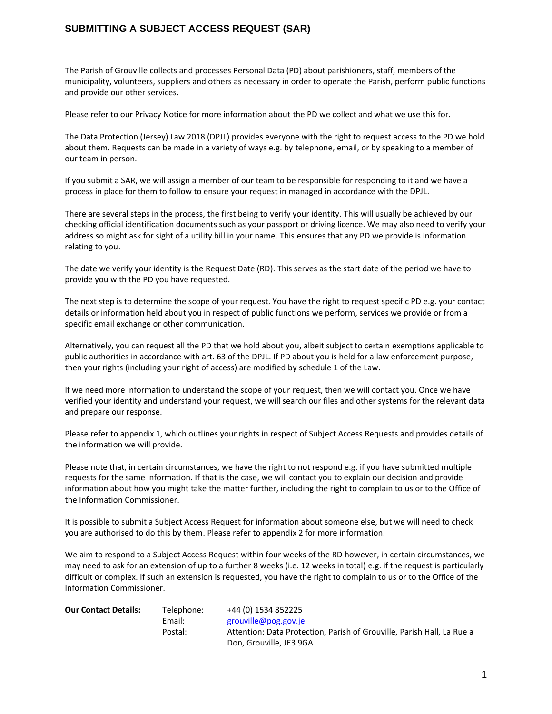# **SUBMITTING A SUBJECT ACCESS REQUEST (SAR)**

The Parish of Grouville collects and processes Personal Data (PD) about parishioners, staff, members of the municipality, volunteers, suppliers and others as necessary in order to operate the Parish, perform public functions and provide our other services.

Please refer to our Privacy Notice for more information about the PD we collect and what we use this for.

The Data Protection (Jersey) Law 2018 (DPJL) provides everyone with the right to request access to the PD we hold about them. Requests can be made in a variety of ways e.g. by telephone, email, or by speaking to a member of our team in person.

If you submit a SAR, we will assign a member of our team to be responsible for responding to it and we have a process in place for them to follow to ensure your request in managed in accordance with the DPJL.

There are several steps in the process, the first being to verify your identity. This will usually be achieved by our checking official identification documents such as your passport or driving licence. We may also need to verify your address so might ask for sight of a utility bill in your name. This ensures that any PD we provide is information relating to you.

The date we verify your identity is the Request Date (RD). This serves as the start date of the period we have to provide you with the PD you have requested.

The next step is to determine the scope of your request. You have the right to request specific PD e.g. your contact details or information held about you in respect of public functions we perform, services we provide or from a specific email exchange or other communication.

Alternatively, you can request all the PD that we hold about you, albeit subject to certain exemptions applicable to public authorities in accordance with art. 63 of the DPJL. If PD about you is held for a law enforcement purpose, then your rights (including your right of access) are modified by schedule 1 of the Law.

If we need more information to understand the scope of your request, then we will contact you. Once we have verified your identity and understand your request, we will search our files and other systems for the relevant data and prepare our response.

Please refer to appendix 1, which outlines your rights in respect of Subject Access Requests and provides details of the information we will provide.

Please note that, in certain circumstances, we have the right to not respond e.g. if you have submitted multiple requests for the same information. If that is the case, we will contact you to explain our decision and provide information about how you might take the matter further, including the right to complain to us or to the Office of the Information Commissioner.

It is possible to submit a Subject Access Request for information about someone else, but we will need to check you are authorised to do this by them. Please refer to appendix 2 for more information.

We aim to respond to a Subject Access Request within four weeks of the RD however, in certain circumstances, we may need to ask for an extension of up to a further 8 weeks (i.e. 12 weeks in total) e.g. if the request is particularly difficult or complex. If such an extension is requested, you have the right to complain to us or to the Office of the Information Commissioner.

| <b>Our Contact Details:</b> | Telephone: | +44 (0) 1534 852225                                                    |
|-----------------------------|------------|------------------------------------------------------------------------|
|                             | Email:     | grouville@pog.gov.je                                                   |
|                             | Postal:    | Attention: Data Protection, Parish of Grouville, Parish Hall, La Rue a |
|                             |            | Don. Grouville. JE3 9GA                                                |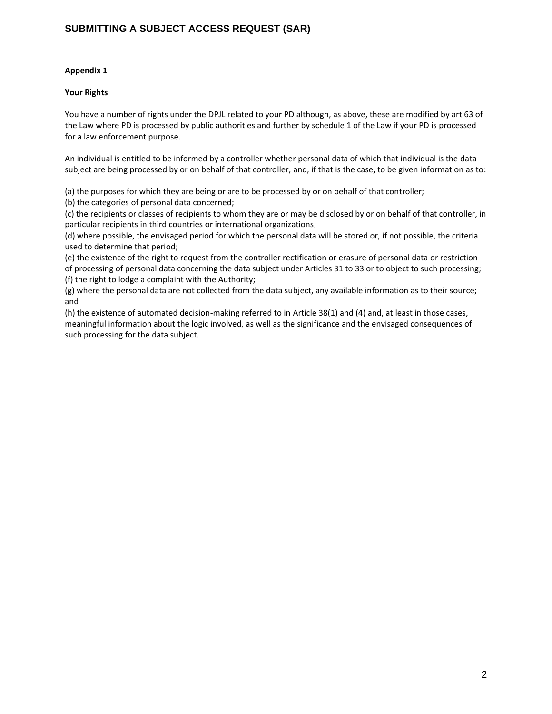## **Appendix 1**

### **Your Rights**

You have a number of rights under the DPJL related to your PD although, as above, these are modified by art 63 of the Law where PD is processed by public authorities and further by schedule 1 of the Law if your PD is processed for a law enforcement purpose.

An individual is entitled to be informed by a controller whether personal data of which that individual is the data subject are being processed by or on behalf of that controller, and, if that is the case, to be given information as to:

(a) the purposes for which they are being or are to be processed by or on behalf of that controller;

(b) the categories of personal data concerned;

(c) the recipients or classes of recipients to whom they are or may be disclosed by or on behalf of that controller, in particular recipients in third countries or international organizations;

(d) where possible, the envisaged period for which the personal data will be stored or, if not possible, the criteria used to determine that period;

(e) the existence of the right to request from the controller rectification or erasure of personal data or restriction of processing of personal data concerning the data subject under Articles 31 to 33 or to object to such processing; (f) the right to lodge a complaint with the Authority;

(g) where the personal data are not collected from the data subject, any available information as to their source; and

(h) the existence of automated decision-making referred to in Article 38(1) and (4) and, at least in those cases, meaningful information about the logic involved, as well as the significance and the envisaged consequences of such processing for the data subject.